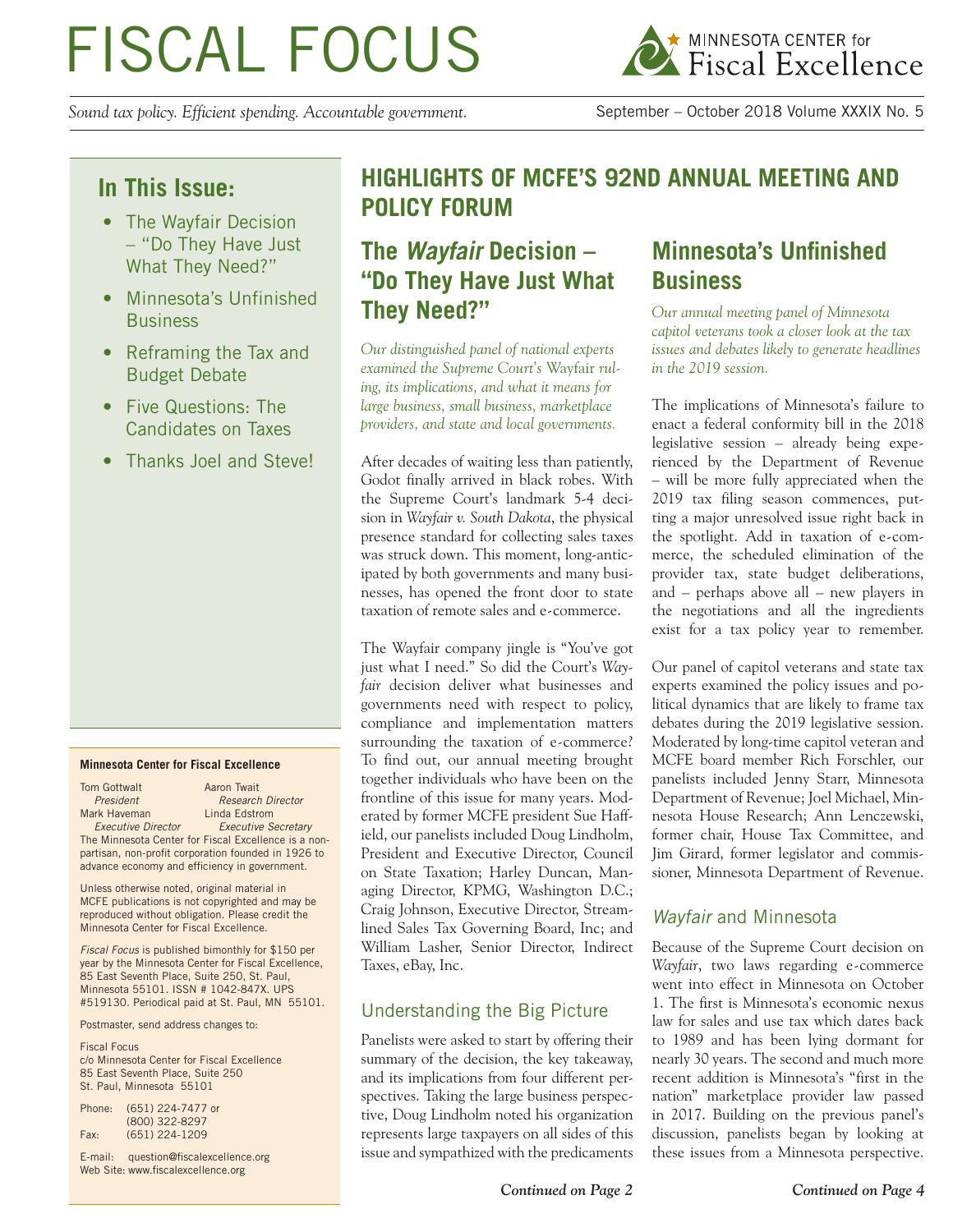# FISCAL FOCUS

*Sound tax policy. Efficient spending. Accountable government.* September – October 2018 Volume XXXIX No. 5



## **In This Issue:**

- The Wayfair Decision – "Do They Have Just What They Need?"
- Minnesota's Unfinished **Business**
- Reframing the Tax and Budget Debate
- Five Questions: The Candidates on Taxes
- Thanks Joel and Steve!

#### **Minnesota Center for Fiscal Excellence**

Tom Gottwalt **Aaron** Twait **President** Research Director<br> **President**<br> **Research Director**<br> **Research Director** Mark Haveman  *Executive Director Executive Secretary* The Minnesota Center for Fiscal Excellence is a nonpartisan, non-profit corporation founded in 1926 to advance economy and efficiency in government.

Unless otherwise noted, original material in MCFE publications is not copyrighted and may be reproduced without obligation. Please credit the Minnesota Center for Fiscal Excellence.

*Fiscal Focus* is published bimonthly for \$150 per year by the Minnesota Center for Fiscal Excellence, 85 East Seventh Place, Suite 250, St. Paul, Minnesota 55101. ISSN # 1042-847X. UPS #519130. Periodical paid at St. Paul, MN 55101.

Postmaster, send address changes to:

Fiscal Focus c/o Minnesota Center for Fiscal Excellence 85 East Seventh Place, Suite 250 St. Paul, Minnesota 55101

| Phone: | (651) 224-7477 or |
|--------|-------------------|
|        | (800) 322-8297    |
| Fax:   | $(651)$ 224-1209  |

E-mail: question@fiscalexcellence.org Web Site: www.fiscalexcellence.org

## **HIGHLIGHTS OF MCFE'S 92ND ANNUAL MEETING AND POLICY FORUM**

# **The Wayfair Decision – "Do They Have Just What They Need?"**

*Our distinguished panel of national experts examined the Supreme Court's* Wayfair *ruling, its implications, and what it means for large business, small business, marketplace providers, and state and local governments.*

After decades of waiting less than patiently, Godot finally arrived in black robes. With the Supreme Court's landmark 5-4 decision in *Wayfair v. South Dakota*, the physical presence standard for collecting sales taxes was struck down. This moment, long-anticipated by both governments and many businesses, has opened the front door to state taxation of remote sales and e-commerce.

The Wayfair company jingle is "You've got just what I need." So did the Court's *Wayfair* decision deliver what businesses and governments need with respect to policy, compliance and implementation matters surrounding the taxation of e-commerce? To find out, our annual meeting brought together individuals who have been on the frontline of this issue for many years. Moderated by former MCFE president Sue Haffield, our panelists included Doug Lindholm, President and Executive Director, Council on State Taxation; Harley Duncan, Managing Director, KPMG, Washington D.C.; Craig Johnson, Executive Director, Streamlined Sales Tax Governing Board, Inc; and William Lasher, Senior Director, Indirect Taxes, eBay, Inc.

### Understanding the Big Picture

Panelists were asked to start by offering their summary of the decision, the key takeaway, and its implications from four different perspectives. Taking the large business perspective, Doug Lindholm noted his organization represents large taxpayers on all sides of this issue and sympathized with the predicaments

# **Minnesota's Unfinished Business**

*Our annual meeting panel of Minnesota capitol veterans took a closer look at the tax issues and debates likely to generate headlines in the 2019 session.*

The implications of Minnesota's failure to enact a federal conformity bill in the 2018 legislative session – already being experienced by the Department of Revenue – will be more fully appreciated when the 2019 tax filing season commences, putting a major unresolved issue right back in the spotlight. Add in taxation of e-commerce, the scheduled elimination of the provider tax, state budget deliberations, and – perhaps above all – new players in the negotiations and all the ingredients exist for a tax policy year to remember.

Our panel of capitol veterans and state tax experts examined the policy issues and political dynamics that are likely to frame tax debates during the 2019 legislative session. Moderated by long-time capitol veteran and MCFE board member Rich Forschler, our panelists included Jenny Starr, Minnesota Department of Revenue; Joel Michael, Minnesota House Research; Ann Lenczewski, former chair, House Tax Committee, and Jim Girard, former legislator and commissioner, Minnesota Department of Revenue.

#### Wayfair and Minnesota

Because of the Supreme Court decision on *Wayfair*, two laws regarding e-commerce went into effect in Minnesota on October 1. The first is Minnesota's economic nexus law for sales and use tax which dates back to 1989 and has been lying dormant for nearly 30 years. The second and much more recent addition is Minnesota's "first in the nation" marketplace provider law passed in 2017. Building on the previous panel's discussion, panelists began by looking at these issues from a Minnesota perspective.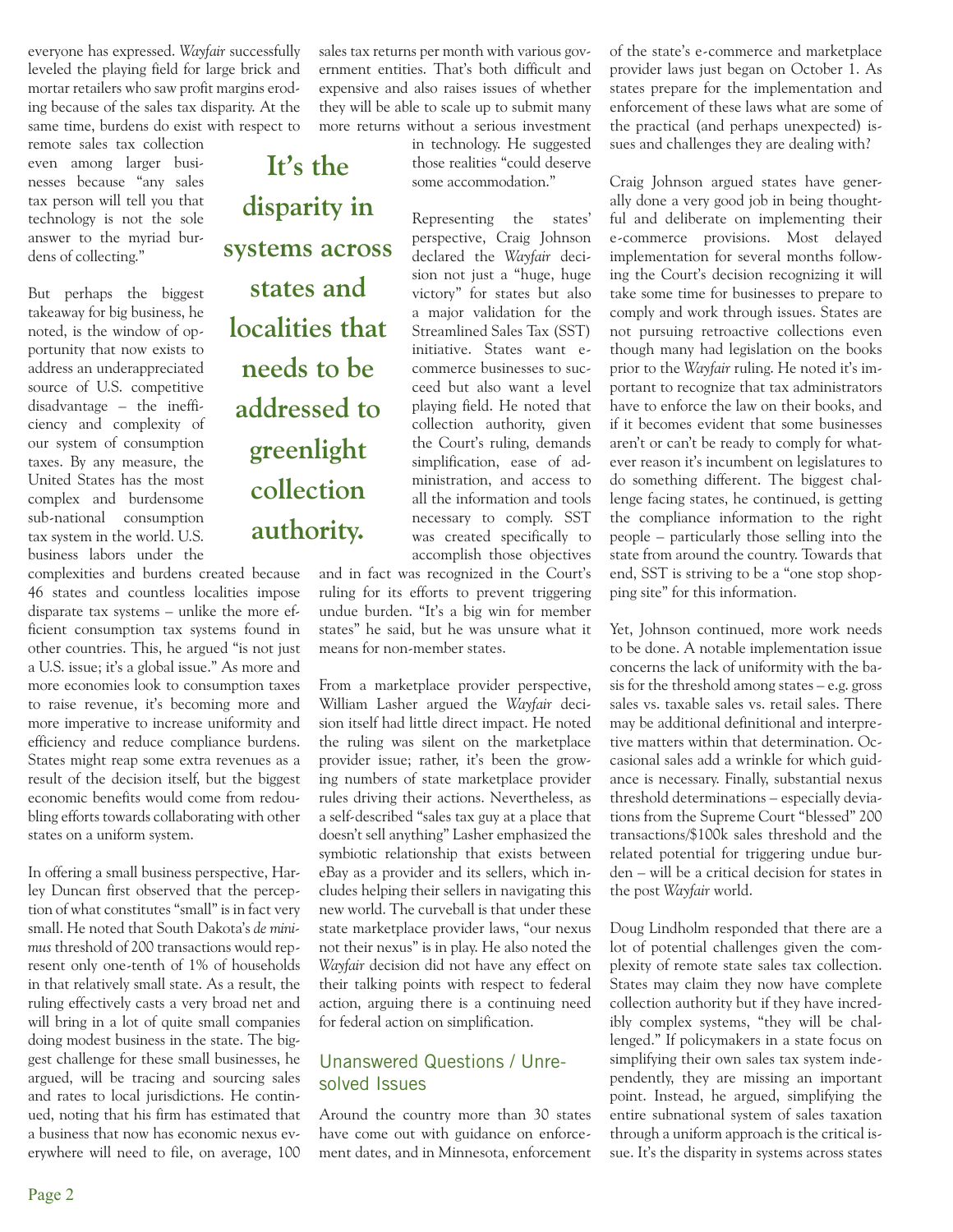everyone has expressed. *Wayfair* successfully leveled the playing field for large brick and mortar retailers who saw profit margins eroding because of the sales tax disparity. At the same time, burdens do exist with respect to

remote sales tax collection even among larger businesses because "any sales tax person will tell you that technology is not the sole answer to the myriad burdens of collecting."

But perhaps the biggest takeaway for big business, he noted, is the window of opportunity that now exists to address an underappreciated source of U.S. competitive disadvantage – the inefficiency and complexity of our system of consumption taxes. By any measure, the United States has the most complex and burdensome sub-national consumption tax system in the world. U.S. business labors under the

complexities and burdens created because 46 states and countless localities impose disparate tax systems – unlike the more efficient consumption tax systems found in other countries. This, he argued "is not just a U.S. issue; it's a global issue." As more and more economies look to consumption taxes to raise revenue, it's becoming more and more imperative to increase uniformity and efficiency and reduce compliance burdens. States might reap some extra revenues as a result of the decision itself, but the biggest economic benefits would come from redoubling efforts towards collaborating with other states on a uniform system.

In offering a small business perspective, Harley Duncan first observed that the perception of what constitutes "small" is in fact very small. He noted that South Dakota's *de minimus* threshold of 200 transactions would represent only one-tenth of 1% of households in that relatively small state. As a result, the ruling effectively casts a very broad net and will bring in a lot of quite small companies doing modest business in the state. The biggest challenge for these small businesses, he argued, will be tracing and sourcing sales and rates to local jurisdictions. He continued, noting that his firm has estimated that a business that now has economic nexus everywhere will need to file, on average, 100

sales tax returns per month with various government entities. That's both difficult and expensive and also raises issues of whether they will be able to scale up to submit many more returns without a serious investment in technology. He suggested **It's the** 

those realities "could deserve some accommodation."

Representing the states' perspective, Craig Johnson declared the *Wayfair* decision not just a "huge, huge victory" for states but also a major validation for the Streamlined Sales Tax (SST) initiative. States want ecommerce businesses to succeed but also want a level playing field. He noted that collection authority, given the Court's ruling, demands simplification, ease of administration, and access to all the information and tools necessary to comply. SST was created specifically to accomplish those objectives

and in fact was recognized in the Court's ruling for its efforts to prevent triggering undue burden. "It's a big win for member states" he said, but he was unsure what it means for non-member states.

From a marketplace provider perspective, William Lasher argued the *Wayfair* decision itself had little direct impact. He noted the ruling was silent on the marketplace provider issue; rather, it's been the growing numbers of state marketplace provider rules driving their actions. Nevertheless, as a self-described "sales tax guy at a place that doesn't sell anything" Lasher emphasized the symbiotic relationship that exists between eBay as a provider and its sellers, which includes helping their sellers in navigating this new world. The curveball is that under these state marketplace provider laws, "our nexus not their nexus" is in play. He also noted the *Wayfair* decision did not have any effect on their talking points with respect to federal action, arguing there is a continuing need for federal action on simplification.

#### Unanswered Questions / Unresolved Issues

Around the country more than 30 states have come out with guidance on enforcement dates, and in Minnesota, enforcement

of the state's e-commerce and marketplace provider laws just began on October 1. As states prepare for the implementation and enforcement of these laws what are some of the practical (and perhaps unexpected) issues and challenges they are dealing with?

Craig Johnson argued states have generally done a very good job in being thoughtful and deliberate on implementing their e-commerce provisions. Most delayed implementation for several months following the Court's decision recognizing it will take some time for businesses to prepare to comply and work through issues. States are not pursuing retroactive collections even though many had legislation on the books prior to the *Wayfair* ruling. He noted it's important to recognize that tax administrators have to enforce the law on their books, and if it becomes evident that some businesses aren't or can't be ready to comply for whatever reason it's incumbent on legislatures to do something different. The biggest challenge facing states, he continued, is getting the compliance information to the right people – particularly those selling into the state from around the country. Towards that end, SST is striving to be a "one stop shopping site" for this information.

Yet, Johnson continued, more work needs to be done. A notable implementation issue concerns the lack of uniformity with the basis for the threshold among states – e.g. gross sales vs. taxable sales vs. retail sales. There may be additional definitional and interpretive matters within that determination. Occasional sales add a wrinkle for which guidance is necessary. Finally, substantial nexus threshold determinations – especially deviations from the Supreme Court "blessed" 200 transactions/\$100k sales threshold and the related potential for triggering undue burden – will be a critical decision for states in the post *Wayfair* world.

Doug Lindholm responded that there are a lot of potential challenges given the complexity of remote state sales tax collection. States may claim they now have complete collection authority but if they have incredibly complex systems, "they will be challenged." If policymakers in a state focus on simplifying their own sales tax system independently, they are missing an important point. Instead, he argued, simplifying the entire subnational system of sales taxation through a uniform approach is the critical issue. It's the disparity in systems across states

**systems across states and localities that needs to be addressed to greenlight collection authority.**

**disparity in**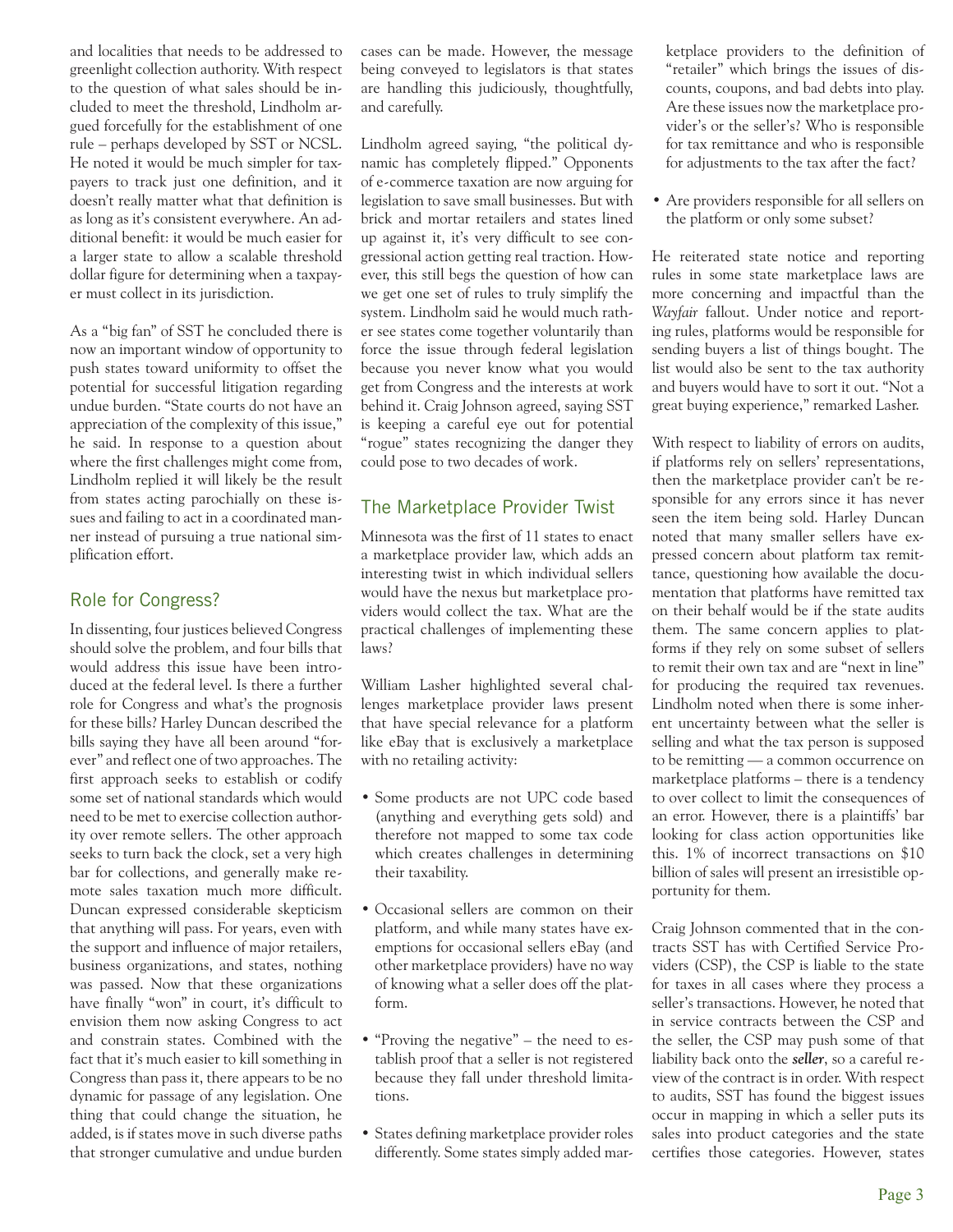and localities that needs to be addressed to greenlight collection authority. With respect to the question of what sales should be included to meet the threshold, Lindholm argued forcefully for the establishment of one rule – perhaps developed by SST or NCSL. He noted it would be much simpler for taxpayers to track just one definition, and it doesn't really matter what that definition is as long as it's consistent everywhere. An additional benefit: it would be much easier for a larger state to allow a scalable threshold dollar figure for determining when a taxpayer must collect in its jurisdiction.

As a "big fan" of SST he concluded there is now an important window of opportunity to push states toward uniformity to offset the potential for successful litigation regarding undue burden. "State courts do not have an appreciation of the complexity of this issue," he said. In response to a question about where the first challenges might come from, Lindholm replied it will likely be the result from states acting parochially on these issues and failing to act in a coordinated manner instead of pursuing a true national simplification effort.

#### Role for Congress?

In dissenting, four justices believed Congress should solve the problem, and four bills that would address this issue have been introduced at the federal level. Is there a further role for Congress and what's the prognosis for these bills? Harley Duncan described the bills saying they have all been around "forever" and reflect one of two approaches. The first approach seeks to establish or codify some set of national standards which would need to be met to exercise collection authority over remote sellers. The other approach seeks to turn back the clock, set a very high bar for collections, and generally make remote sales taxation much more difficult. Duncan expressed considerable skepticism that anything will pass. For years, even with the support and influence of major retailers, business organizations, and states, nothing was passed. Now that these organizations have finally "won" in court, it's difficult to envision them now asking Congress to act and constrain states. Combined with the fact that it's much easier to kill something in Congress than pass it, there appears to be no dynamic for passage of any legislation. One thing that could change the situation, he added, is if states move in such diverse paths that stronger cumulative and undue burden

cases can be made. However, the message being conveyed to legislators is that states are handling this judiciously, thoughtfully, and carefully.

Lindholm agreed saying, "the political dynamic has completely flipped." Opponents of e-commerce taxation are now arguing for legislation to save small businesses. But with brick and mortar retailers and states lined up against it, it's very difficult to see congressional action getting real traction. However, this still begs the question of how can we get one set of rules to truly simplify the system. Lindholm said he would much rather see states come together voluntarily than force the issue through federal legislation because you never know what you would get from Congress and the interests at work behind it. Craig Johnson agreed, saying SST is keeping a careful eye out for potential "rogue" states recognizing the danger they could pose to two decades of work.

#### The Marketplace Provider Twist

Minnesota was the first of 11 states to enact a marketplace provider law, which adds an interesting twist in which individual sellers would have the nexus but marketplace providers would collect the tax. What are the practical challenges of implementing these laws?

William Lasher highlighted several challenges marketplace provider laws present that have special relevance for a platform like eBay that is exclusively a marketplace with no retailing activity:

- Some products are not UPC code based (anything and everything gets sold) and therefore not mapped to some tax code which creates challenges in determining their taxability.
- Occasional sellers are common on their platform, and while many states have exemptions for occasional sellers eBay (and other marketplace providers) have no way of knowing what a seller does off the platform.
- "Proving the negative" the need to establish proof that a seller is not registered because they fall under threshold limitations.
- States defining marketplace provider roles differently. Some states simply added mar-

ketplace providers to the definition of "retailer" which brings the issues of discounts, coupons, and bad debts into play. Are these issues now the marketplace provider's or the seller's? Who is responsible for tax remittance and who is responsible for adjustments to the tax after the fact?

• Are providers responsible for all sellers on the platform or only some subset?

He reiterated state notice and reporting rules in some state marketplace laws are more concerning and impactful than the *Wayfair* fallout. Under notice and reporting rules, platforms would be responsible for sending buyers a list of things bought. The list would also be sent to the tax authority and buyers would have to sort it out. "Not a great buying experience," remarked Lasher.

With respect to liability of errors on audits, if platforms rely on sellers' representations, then the marketplace provider can't be responsible for any errors since it has never seen the item being sold. Harley Duncan noted that many smaller sellers have expressed concern about platform tax remittance, questioning how available the documentation that platforms have remitted tax on their behalf would be if the state audits them. The same concern applies to platforms if they rely on some subset of sellers to remit their own tax and are "next in line" for producing the required tax revenues. Lindholm noted when there is some inherent uncertainty between what the seller is selling and what the tax person is supposed to be remitting — a common occurrence on marketplace platforms – there is a tendency to over collect to limit the consequences of an error. However, there is a plaintiffs' bar looking for class action opportunities like this. 1% of incorrect transactions on \$10 billion of sales will present an irresistible opportunity for them.

Craig Johnson commented that in the contracts SST has with Certified Service Providers (CSP), the CSP is liable to the state for taxes in all cases where they process a seller's transactions. However, he noted that in service contracts between the CSP and the seller, the CSP may push some of that liability back onto the *seller*, so a careful review of the contract is in order. With respect to audits, SST has found the biggest issues occur in mapping in which a seller puts its sales into product categories and the state certifies those categories. However, states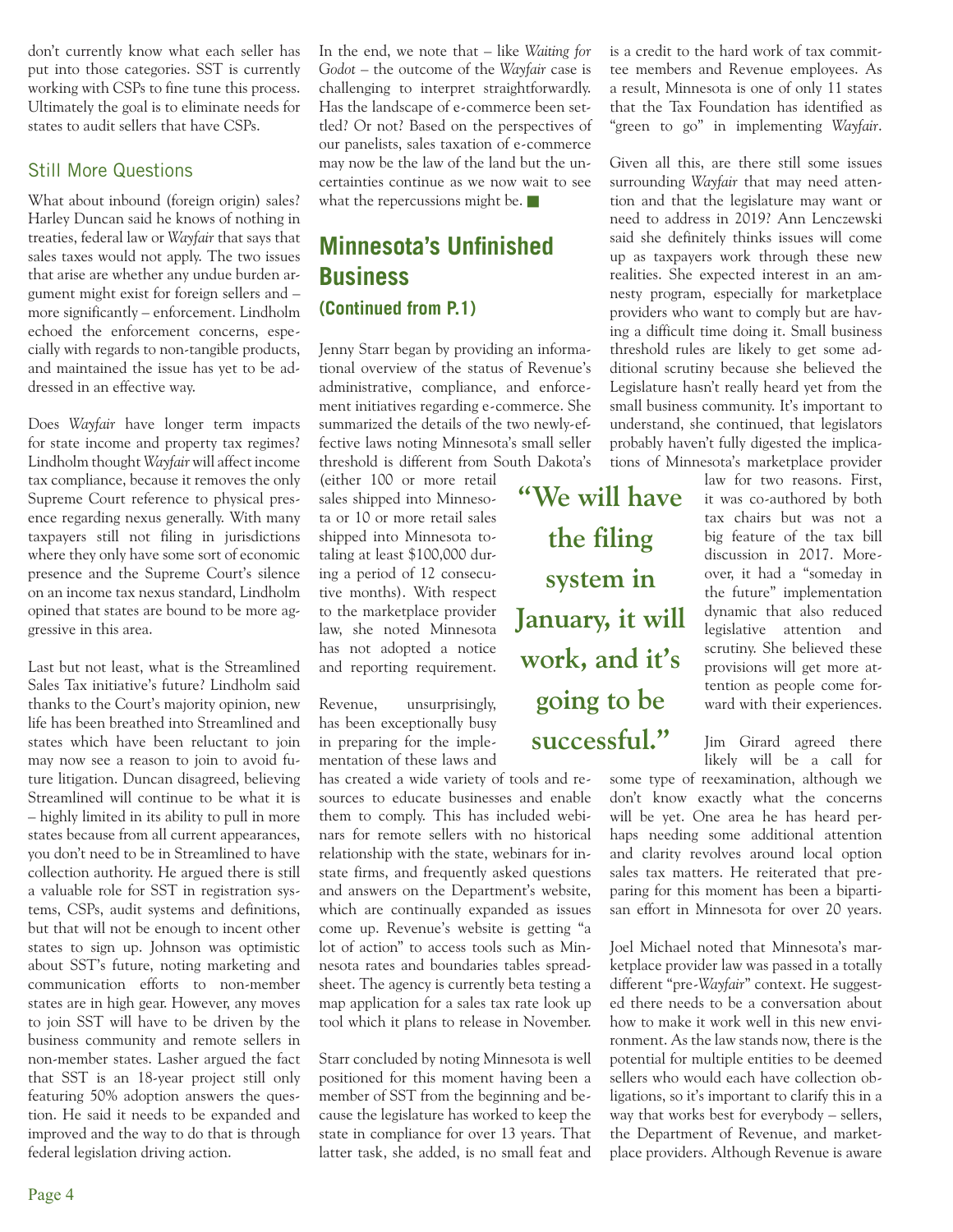don't currently know what each seller has put into those categories. SST is currently working with CSPs to fine tune this process. Ultimately the goal is to eliminate needs for states to audit sellers that have CSPs.

#### Still More Questions

What about inbound (foreign origin) sales? Harley Duncan said he knows of nothing in treaties, federal law or *Wayfair* that says that sales taxes would not apply. The two issues that arise are whether any undue burden argument might exist for foreign sellers and – more significantly – enforcement. Lindholm echoed the enforcement concerns, especially with regards to non-tangible products, and maintained the issue has yet to be addressed in an effective way.

Does *Wayfair* have longer term impacts for state income and property tax regimes? Lindholm thought *Wayfair* will affect income tax compliance, because it removes the only Supreme Court reference to physical presence regarding nexus generally. With many taxpayers still not filing in jurisdictions where they only have some sort of economic presence and the Supreme Court's silence on an income tax nexus standard, Lindholm opined that states are bound to be more aggressive in this area.

Last but not least, what is the Streamlined Sales Tax initiative's future? Lindholm said thanks to the Court's majority opinion, new life has been breathed into Streamlined and states which have been reluctant to join may now see a reason to join to avoid future litigation. Duncan disagreed, believing Streamlined will continue to be what it is – highly limited in its ability to pull in more states because from all current appearances, you don't need to be in Streamlined to have collection authority. He argued there is still a valuable role for SST in registration systems, CSPs, audit systems and definitions, but that will not be enough to incent other states to sign up. Johnson was optimistic about SST's future, noting marketing and communication efforts to non-member states are in high gear. However, any moves to join SST will have to be driven by the business community and remote sellers in non-member states. Lasher argued the fact that SST is an 18-year project still only featuring 50% adoption answers the question. He said it needs to be expanded and improved and the way to do that is through federal legislation driving action.

In the end, we note that – like *Waiting for Godot* – the outcome of the *Wayfair* case is challenging to interpret straightforwardly. Has the landscape of e-commerce been settled? Or not? Based on the perspectives of our panelists, sales taxation of e-commerce may now be the law of the land but the uncertainties continue as we now wait to see what the repercussions might be.

## **Minnesota's Unfinished Business (Continued from P.1)**

Jenny Starr began by providing an informational overview of the status of Revenue's administrative, compliance, and enforcement initiatives regarding e-commerce. She summarized the details of the two newly-effective laws noting Minnesota's small seller threshold is different from South Dakota's

(either 100 or more retail sales shipped into Minnesota or 10 or more retail sales shipped into Minnesota totaling at least \$100,000 during a period of 12 consecutive months). With respect to the marketplace provider law, she noted Minnesota has not adopted a notice and reporting requirement.

Revenue, unsurprisingly, has been exceptionally busy in preparing for the implementation of these laws and

has created a wide variety of tools and resources to educate businesses and enable them to comply. This has included webinars for remote sellers with no historical relationship with the state, webinars for instate firms, and frequently asked questions and answers on the Department's website, which are continually expanded as issues come up. Revenue's website is getting "a lot of action" to access tools such as Minnesota rates and boundaries tables spreadsheet. The agency is currently beta testing a map application for a sales tax rate look up tool which it plans to release in November.

Starr concluded by noting Minnesota is well positioned for this moment having been a member of SST from the beginning and because the legislature has worked to keep the state in compliance for over 13 years. That latter task, she added, is no small feat and

is a credit to the hard work of tax committee members and Revenue employees. As a result, Minnesota is one of only 11 states that the Tax Foundation has identified as "green to go" in implementing *Wayfair*.

Given all this, are there still some issues surrounding *Wayfair* that may need attention and that the legislature may want or need to address in 2019? Ann Lenczewski said she definitely thinks issues will come up as taxpayers work through these new realities. She expected interest in an amnesty program, especially for marketplace providers who want to comply but are having a difficult time doing it. Small business threshold rules are likely to get some additional scrutiny because she believed the Legislature hasn't really heard yet from the small business community. It's important to understand, she continued, that legislators probably haven't fully digested the implications of Minnesota's marketplace provider

**"We will have the filing system in January, it will work, and it's going to be successful."**

law for two reasons. First, it was co-authored by both tax chairs but was not a big feature of the tax bill discussion in 2017. Moreover, it had a "someday in the future" implementation dynamic that also reduced legislative attention and scrutiny. She believed these provisions will get more attention as people come forward with their experiences.

Jim Girard agreed there likely will be a call for

some type of reexamination, although we don't know exactly what the concerns will be yet. One area he has heard perhaps needing some additional attention and clarity revolves around local option sales tax matters. He reiterated that preparing for this moment has been a bipartisan effort in Minnesota for over 20 years.

Joel Michael noted that Minnesota's marketplace provider law was passed in a totally different "pre-*Wayfair*" context. He suggested there needs to be a conversation about how to make it work well in this new environment. As the law stands now, there is the potential for multiple entities to be deemed sellers who would each have collection obligations, so it's important to clarify this in a way that works best for everybody – sellers, the Department of Revenue, and marketplace providers. Although Revenue is aware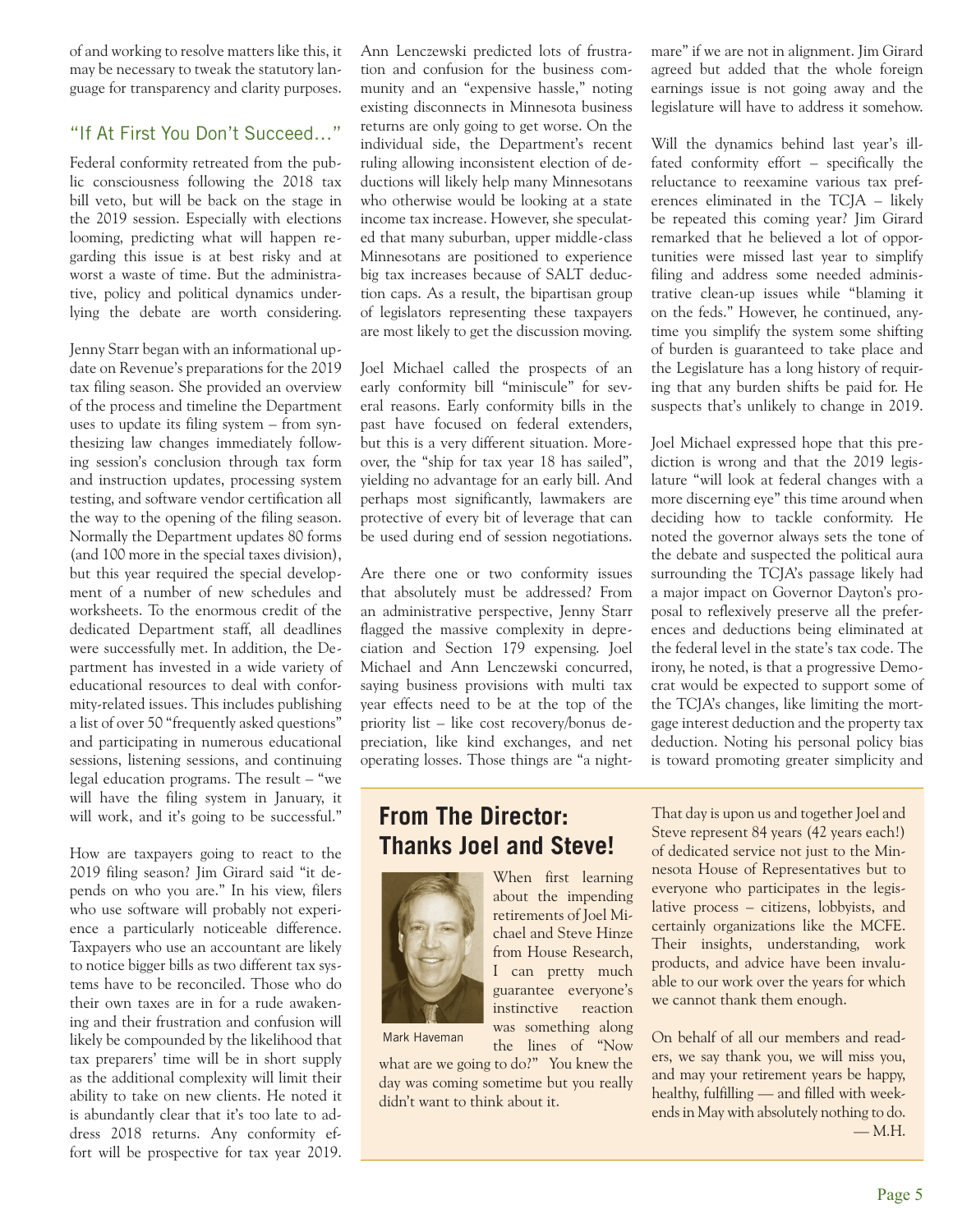of and working to resolve matters like this, it may be necessary to tweak the statutory language for transparency and clarity purposes.

#### "If At First You Don't Succeed…"

Federal conformity retreated from the public consciousness following the 2018 tax bill veto, but will be back on the stage in the 2019 session. Especially with elections looming, predicting what will happen regarding this issue is at best risky and at worst a waste of time. But the administrative, policy and political dynamics underlying the debate are worth considering.

Jenny Starr began with an informational update on Revenue's preparations for the 2019 tax filing season. She provided an overview of the process and timeline the Department uses to update its filing system – from synthesizing law changes immediately following session's conclusion through tax form and instruction updates, processing system testing, and software vendor certification all the way to the opening of the filing season. Normally the Department updates 80 forms (and 100 more in the special taxes division), but this year required the special development of a number of new schedules and worksheets. To the enormous credit of the dedicated Department staff, all deadlines were successfully met. In addition, the Department has invested in a wide variety of educational resources to deal with conformity-related issues. This includes publishing a list of over 50 "frequently asked questions" and participating in numerous educational sessions, listening sessions, and continuing legal education programs. The result – "we will have the filing system in January, it will work, and it's going to be successful."

How are taxpayers going to react to the 2019 filing season? Jim Girard said "it depends on who you are." In his view, filers who use software will probably not experience a particularly noticeable difference. Taxpayers who use an accountant are likely to notice bigger bills as two different tax systems have to be reconciled. Those who do their own taxes are in for a rude awakening and their frustration and confusion will likely be compounded by the likelihood that tax preparers' time will be in short supply as the additional complexity will limit their ability to take on new clients. He noted it is abundantly clear that it's too late to address 2018 returns. Any conformity effort will be prospective for tax year 2019.

Ann Lenczewski predicted lots of frustration and confusion for the business community and an "expensive hassle," noting existing disconnects in Minnesota business returns are only going to get worse. On the individual side, the Department's recent ruling allowing inconsistent election of deductions will likely help many Minnesotans who otherwise would be looking at a state income tax increase. However, she speculated that many suburban, upper middle-class Minnesotans are positioned to experience big tax increases because of SALT deduction caps. As a result, the bipartisan group of legislators representing these taxpayers are most likely to get the discussion moving.

Joel Michael called the prospects of an early conformity bill "miniscule" for several reasons. Early conformity bills in the past have focused on federal extenders, but this is a very different situation. Moreover, the "ship for tax year 18 has sailed", yielding no advantage for an early bill. And perhaps most significantly, lawmakers are protective of every bit of leverage that can be used during end of session negotiations.

Are there one or two conformity issues that absolutely must be addressed? From an administrative perspective, Jenny Starr flagged the massive complexity in depreciation and Section 179 expensing. Joel Michael and Ann Lenczewski concurred, saying business provisions with multi tax year effects need to be at the top of the priority list – like cost recovery/bonus depreciation, like kind exchanges, and net operating losses. Those things are "a night-

**From The Director: Thanks Joel and Steve!**



Mark Haveman

what are we going to do?" You knew the day was coming sometime but you really didn't want to think about it.

the lines of "Now

mare" if we are not in alignment. Jim Girard agreed but added that the whole foreign earnings issue is not going away and the legislature will have to address it somehow.

Will the dynamics behind last year's illfated conformity effort – specifically the reluctance to reexamine various tax preferences eliminated in the TCJA – likely be repeated this coming year? Jim Girard remarked that he believed a lot of opportunities were missed last year to simplify filing and address some needed administrative clean-up issues while "blaming it on the feds." However, he continued, anytime you simplify the system some shifting of burden is guaranteed to take place and the Legislature has a long history of requiring that any burden shifts be paid for. He suspects that's unlikely to change in 2019.

Joel Michael expressed hope that this prediction is wrong and that the 2019 legislature "will look at federal changes with a more discerning eye" this time around when deciding how to tackle conformity. He noted the governor always sets the tone of the debate and suspected the political aura surrounding the TCJA's passage likely had a major impact on Governor Dayton's proposal to reflexively preserve all the preferences and deductions being eliminated at the federal level in the state's tax code. The irony, he noted, is that a progressive Democrat would be expected to support some of the TCJA's changes, like limiting the mortgage interest deduction and the property tax deduction. Noting his personal policy bias is toward promoting greater simplicity and

That day is upon us and together Joel and Steve represent 84 years (42 years each!) of dedicated service not just to the Minnesota House of Representatives but to everyone who participates in the legislative process – citizens, lobbyists, and certainly organizations like the MCFE. Their insights, understanding, work products, and advice have been invaluable to our work over the years for which we cannot thank them enough.

On behalf of all our members and readers, we say thank you, we will miss you, and may your retirement years be happy, healthy, fulfilling — and filled with weekends in May with absolutely nothing to do. — M.H.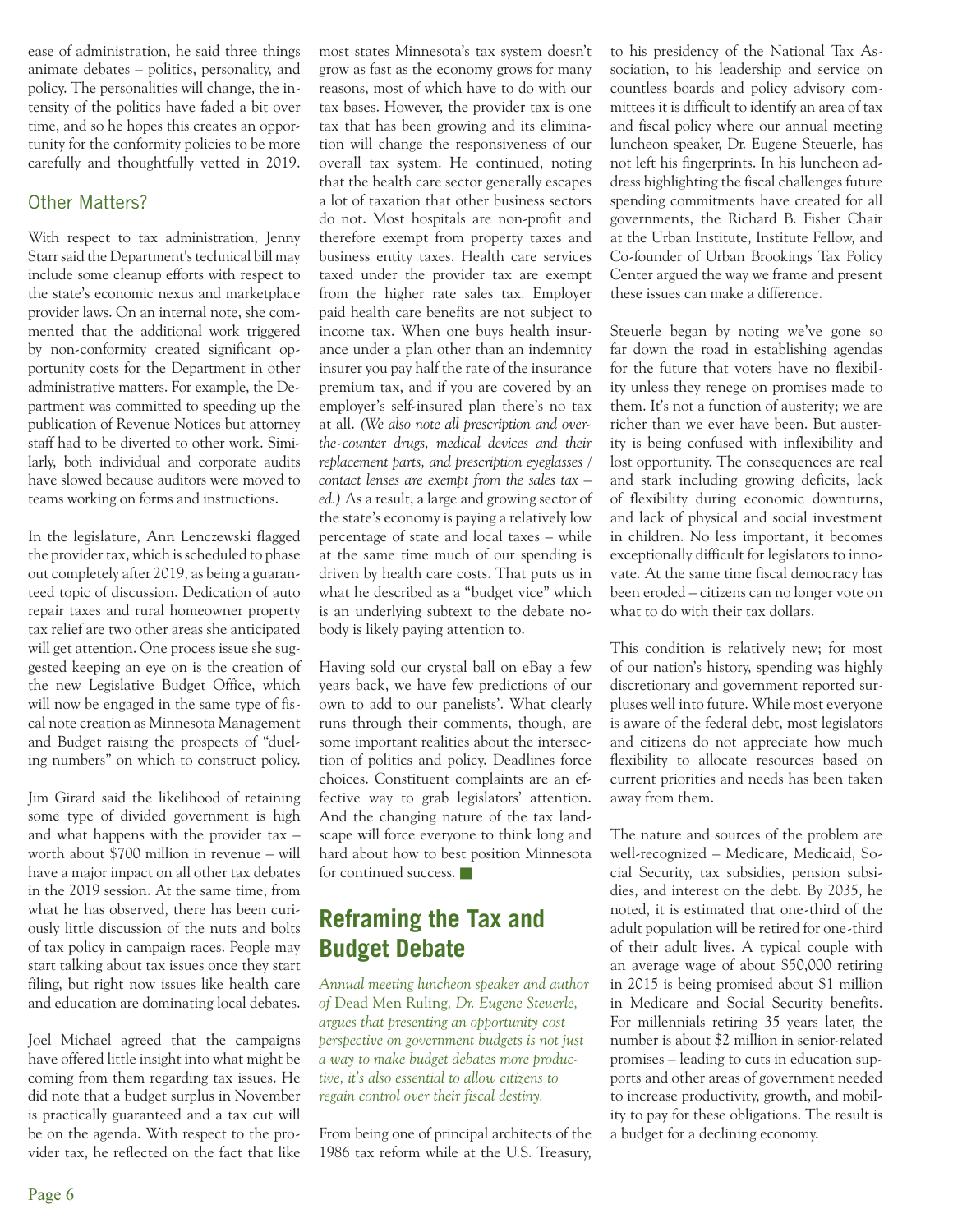ease of administration, he said three things animate debates – politics, personality, and policy. The personalities will change, the intensity of the politics have faded a bit over time, and so he hopes this creates an opportunity for the conformity policies to be more carefully and thoughtfully vetted in 2019.

#### Other Matters?

With respect to tax administration, Jenny Starr said the Department's technical bill may include some cleanup efforts with respect to the state's economic nexus and marketplace provider laws. On an internal note, she commented that the additional work triggered by non-conformity created significant opportunity costs for the Department in other administrative matters. For example, the Department was committed to speeding up the publication of Revenue Notices but attorney staff had to be diverted to other work. Similarly, both individual and corporate audits have slowed because auditors were moved to teams working on forms and instructions.

In the legislature, Ann Lenczewski flagged the provider tax, which is scheduled to phase out completely after 2019, as being a guaranteed topic of discussion. Dedication of auto repair taxes and rural homeowner property tax relief are two other areas she anticipated will get attention. One process issue she suggested keeping an eye on is the creation of the new Legislative Budget Office, which will now be engaged in the same type of fiscal note creation as Minnesota Management and Budget raising the prospects of "dueling numbers" on which to construct policy.

Jim Girard said the likelihood of retaining some type of divided government is high and what happens with the provider tax – worth about \$700 million in revenue – will have a major impact on all other tax debates in the 2019 session. At the same time, from what he has observed, there has been curiously little discussion of the nuts and bolts of tax policy in campaign races. People may start talking about tax issues once they start filing, but right now issues like health care and education are dominating local debates.

Joel Michael agreed that the campaigns have offered little insight into what might be coming from them regarding tax issues. He did note that a budget surplus in November is practically guaranteed and a tax cut will be on the agenda. With respect to the provider tax, he reflected on the fact that like most states Minnesota's tax system doesn't grow as fast as the economy grows for many reasons, most of which have to do with our tax bases. However, the provider tax is one tax that has been growing and its elimination will change the responsiveness of our overall tax system. He continued, noting that the health care sector generally escapes a lot of taxation that other business sectors do not. Most hospitals are non-profit and therefore exempt from property taxes and business entity taxes. Health care services taxed under the provider tax are exempt from the higher rate sales tax. Employer paid health care benefits are not subject to income tax. When one buys health insurance under a plan other than an indemnity insurer you pay half the rate of the insurance premium tax, and if you are covered by an employer's self-insured plan there's no tax at all. *(We also note all prescription and overthe-counter drugs, medical devices and their replacement parts, and prescription eyeglasses / contact lenses are exempt from the sales tax – ed.)* As a result, a large and growing sector of the state's economy is paying a relatively low percentage of state and local taxes – while at the same time much of our spending is driven by health care costs. That puts us in what he described as a "budget vice" which is an underlying subtext to the debate nobody is likely paying attention to.

Having sold our crystal ball on eBay a few years back, we have few predictions of our own to add to our panelists'. What clearly runs through their comments, though, are some important realities about the intersection of politics and policy. Deadlines force choices. Constituent complaints are an effective way to grab legislators' attention. And the changing nature of the tax landscape will force everyone to think long and hard about how to best position Minnesota for continued success.

# **Reframing the Tax and Budget Debate**

*Annual meeting luncheon speaker and author of* Dead Men Ruling*, Dr. Eugene Steuerle, argues that presenting an opportunity cost perspective on government budgets is not just a way to make budget debates more productive, it's also essential to allow citizens to regain control over their fiscal destiny.*

From being one of principal architects of the 1986 tax reform while at the U.S. Treasury,

to his presidency of the National Tax Association, to his leadership and service on countless boards and policy advisory committees it is difficult to identify an area of tax and fiscal policy where our annual meeting luncheon speaker, Dr. Eugene Steuerle, has not left his fingerprints. In his luncheon address highlighting the fiscal challenges future spending commitments have created for all governments, the Richard B. Fisher Chair at the Urban Institute, Institute Fellow, and Co-founder of Urban Brookings Tax Policy Center argued the way we frame and present these issues can make a difference.

Steuerle began by noting we've gone so far down the road in establishing agendas for the future that voters have no flexibility unless they renege on promises made to them. It's not a function of austerity; we are richer than we ever have been. But austerity is being confused with inflexibility and lost opportunity. The consequences are real and stark including growing deficits, lack of flexibility during economic downturns, and lack of physical and social investment in children. No less important, it becomes exceptionally difficult for legislators to innovate. At the same time fiscal democracy has been eroded – citizens can no longer vote on what to do with their tax dollars.

This condition is relatively new; for most of our nation's history, spending was highly discretionary and government reported surpluses well into future. While most everyone is aware of the federal debt, most legislators and citizens do not appreciate how much flexibility to allocate resources based on current priorities and needs has been taken away from them.

The nature and sources of the problem are well-recognized – Medicare, Medicaid, Social Security, tax subsidies, pension subsidies, and interest on the debt. By 2035, he noted, it is estimated that one-third of the adult population will be retired for one-third of their adult lives. A typical couple with an average wage of about \$50,000 retiring in 2015 is being promised about \$1 million in Medicare and Social Security benefits. For millennials retiring 35 years later, the number is about \$2 million in senior-related promises – leading to cuts in education supports and other areas of government needed to increase productivity, growth, and mobility to pay for these obligations. The result is a budget for a declining economy.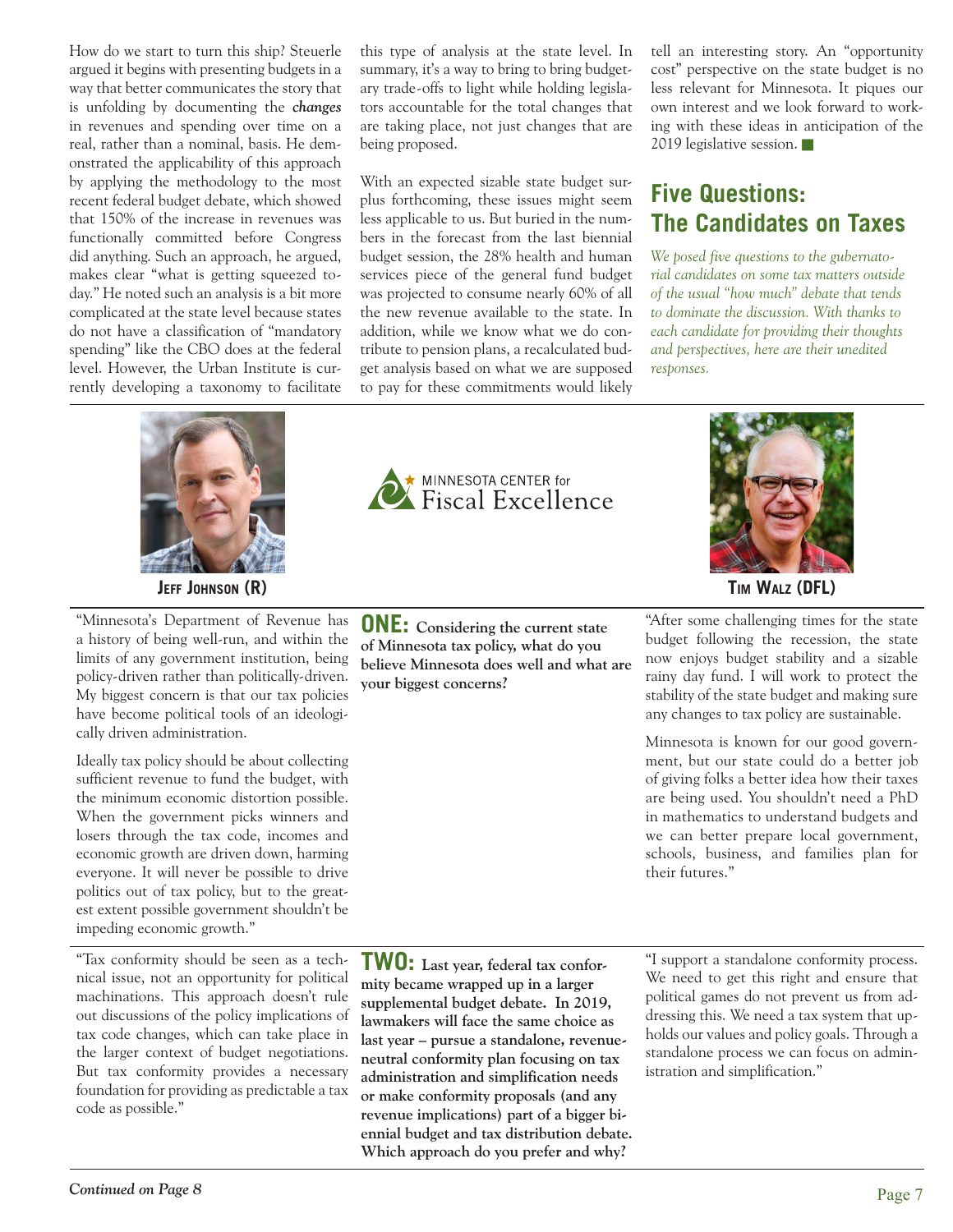How do we start to turn this ship? Steuerle argued it begins with presenting budgets in a way that better communicates the story that is unfolding by documenting the *changes* in revenues and spending over time on a real, rather than a nominal, basis. He demonstrated the applicability of this approach by applying the methodology to the most recent federal budget debate, which showed that 150% of the increase in revenues was functionally committed before Congress did anything. Such an approach, he argued, makes clear "what is getting squeezed today." He noted such an analysis is a bit more complicated at the state level because states do not have a classification of "mandatory spending" like the CBO does at the federal level. However, the Urban Institute is currently developing a taxonomy to facilitate



"Minnesota's Department of Revenue has a history of being well-run, and within the limits of any government institution, being policy-driven rather than politically-driven. My biggest concern is that our tax policies have become political tools of an ideologically driven administration.

Ideally tax policy should be about collecting sufficient revenue to fund the budget, with the minimum economic distortion possible. When the government picks winners and losers through the tax code, incomes and economic growth are driven down, harming everyone. It will never be possible to drive politics out of tax policy, but to the greatest extent possible government shouldn't be impeding economic growth."

"Tax conformity should be seen as a technical issue, not an opportunity for political machinations. This approach doesn't rule out discussions of the policy implications of tax code changes, which can take place in the larger context of budget negotiations. But tax conformity provides a necessary foundation for providing as predictable a tax code as possible."

this type of analysis at the state level. In summary, it's a way to bring to bring budgetary trade-offs to light while holding legislators accountable for the total changes that are taking place, not just changes that are being proposed.

With an expected sizable state budget surplus forthcoming, these issues might seem less applicable to us. But buried in the numbers in the forecast from the last biennial budget session, the 28% health and human services piece of the general fund budget was projected to consume nearly 60% of all the new revenue available to the state. In addition, while we know what we do contribute to pension plans, a recalculated budget analysis based on what we are supposed to pay for these commitments would likely

tell an interesting story. An "opportunity cost" perspective on the state budget is no less relevant for Minnesota. It piques our own interest and we look forward to working with these ideas in anticipation of the 2019 legislative session.

# **Five Questions: The Candidates on Taxes**

*We posed five questions to the gubernatorial candidates on some tax matters outside of the usual "how much" debate that tends to dominate the discussion. With thanks to each candidate for providing their thoughts and perspectives, here are their unedited responses.*







**JEFF JOHNSON (R) TIM WALZ (DFL)**

"After some challenging times for the state budget following the recession, the state now enjoys budget stability and a sizable rainy day fund. I will work to protect the stability of the state budget and making sure any changes to tax policy are sustainable.

Minnesota is known for our good government, but our state could do a better job of giving folks a better idea how their taxes are being used. You shouldn't need a PhD in mathematics to understand budgets and we can better prepare local government, schools, business, and families plan for their futures."

**TWO: Last year, federal tax conformity became wrapped up in a larger supplemental budget debate. In 2019, lawmakers will face the same choice as last year – pursue a standalone, revenueneutral conformity plan focusing on tax administration and simplification needs or make conformity proposals (and any revenue implications) part of a bigger biennial budget and tax distribution debate. Which approach do you prefer and why?**

"I support a standalone conformity process. We need to get this right and ensure that political games do not prevent us from addressing this. We need a tax system that upholds our values and policy goals. Through a standalone process we can focus on administration and simplification."